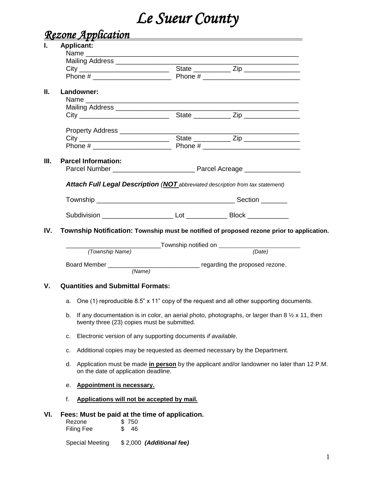# *Le Sueur County*

# *Rezone Application*

|     |                                          | — <del>—</del><br><b>Applicant:</b>                                                                                                                               |  |                                                                                            |  |  |  |  |
|-----|------------------------------------------|-------------------------------------------------------------------------------------------------------------------------------------------------------------------|--|--------------------------------------------------------------------------------------------|--|--|--|--|
|     |                                          |                                                                                                                                                                   |  |                                                                                            |  |  |  |  |
|     |                                          | Mailing Address ____________________                                                                                                                              |  |                                                                                            |  |  |  |  |
|     |                                          |                                                                                                                                                                   |  |                                                                                            |  |  |  |  |
|     |                                          |                                                                                                                                                                   |  |                                                                                            |  |  |  |  |
| П.  |                                          | Landowner:                                                                                                                                                        |  |                                                                                            |  |  |  |  |
|     |                                          |                                                                                                                                                                   |  |                                                                                            |  |  |  |  |
|     |                                          |                                                                                                                                                                   |  |                                                                                            |  |  |  |  |
|     |                                          |                                                                                                                                                                   |  |                                                                                            |  |  |  |  |
|     |                                          |                                                                                                                                                                   |  |                                                                                            |  |  |  |  |
|     |                                          |                                                                                                                                                                   |  |                                                                                            |  |  |  |  |
|     |                                          |                                                                                                                                                                   |  |                                                                                            |  |  |  |  |
| Ш.  |                                          | <b>Parcel Information:</b>                                                                                                                                        |  |                                                                                            |  |  |  |  |
|     |                                          |                                                                                                                                                                   |  |                                                                                            |  |  |  |  |
|     |                                          |                                                                                                                                                                   |  |                                                                                            |  |  |  |  |
|     |                                          | <b>Attach Full Legal Description (NOT</b> abbreviated description from tax statement)                                                                             |  |                                                                                            |  |  |  |  |
|     |                                          |                                                                                                                                                                   |  |                                                                                            |  |  |  |  |
|     |                                          |                                                                                                                                                                   |  |                                                                                            |  |  |  |  |
|     |                                          |                                                                                                                                                                   |  |                                                                                            |  |  |  |  |
| IV. |                                          |                                                                                                                                                                   |  | Township Notification: Township must be notified of proposed rezone prior to application.  |  |  |  |  |
|     |                                          |                                                                                                                                                                   |  | ___________Township notified on _______________________________                            |  |  |  |  |
|     | (Township Name)                          |                                                                                                                                                                   |  | (Date)                                                                                     |  |  |  |  |
|     |                                          |                                                                                                                                                                   |  |                                                                                            |  |  |  |  |
|     |                                          |                                                                                                                                                                   |  |                                                                                            |  |  |  |  |
| V.  | <b>Quantities and Submittal Formats:</b> |                                                                                                                                                                   |  |                                                                                            |  |  |  |  |
|     |                                          |                                                                                                                                                                   |  | a. One (1) reproducible 8.5" x 11" copy of the request and all other supporting documents. |  |  |  |  |
|     |                                          | b. If any documentation is in color, an aerial photo, photographs, or larger than 8 $\frac{1}{2} \times 11$ , then<br>twenty three (23) copies must be submitted. |  |                                                                                            |  |  |  |  |
|     | c.                                       | Electronic version of any supporting documents if available.                                                                                                      |  |                                                                                            |  |  |  |  |
|     | c.                                       | Additional copies may be requested as deemed necessary by the Department.                                                                                         |  |                                                                                            |  |  |  |  |
|     |                                          |                                                                                                                                                                   |  |                                                                                            |  |  |  |  |
|     | d.                                       | Application must be made in person by the applicant and/or landowner no later than 12 P.M.<br>on the date of application deadline.                                |  |                                                                                            |  |  |  |  |
|     | е.                                       | Appointment is necessary.                                                                                                                                         |  |                                                                                            |  |  |  |  |
|     | f.                                       | Applications will not be accepted by mail.                                                                                                                        |  |                                                                                            |  |  |  |  |
| VI. |                                          | Fees: Must be paid at the time of application.                                                                                                                    |  |                                                                                            |  |  |  |  |
|     |                                          | \$750<br>Rezone                                                                                                                                                   |  |                                                                                            |  |  |  |  |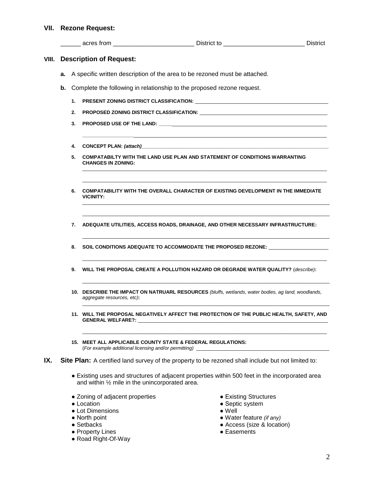## **VII. Rezone Request:**

|       |                                |    |                                                                        | ____ acres from ____________________________ District to _____________________________ District                                                             |  |  |  |  |
|-------|--------------------------------|----|------------------------------------------------------------------------|-------------------------------------------------------------------------------------------------------------------------------------------------------------|--|--|--|--|
| VIII. | <b>Description of Request:</b> |    |                                                                        |                                                                                                                                                             |  |  |  |  |
|       | а.                             |    |                                                                        | A specific written description of the area to be rezoned must be attached.                                                                                  |  |  |  |  |
|       | b.                             |    | Complete the following in relationship to the proposed rezone request. |                                                                                                                                                             |  |  |  |  |
|       |                                |    |                                                                        |                                                                                                                                                             |  |  |  |  |
|       |                                |    |                                                                        |                                                                                                                                                             |  |  |  |  |
|       |                                | 3. |                                                                        |                                                                                                                                                             |  |  |  |  |
|       |                                | 4. |                                                                        |                                                                                                                                                             |  |  |  |  |
|       |                                | 5. | <b>CHANGES IN ZONING:</b>                                              | COMPATABILTY WITH THE LAND USE PLAN AND STATEMENT OF CONDITIONS WARRANTING                                                                                  |  |  |  |  |
|       |                                | 6. | <b>VICINITY:</b>                                                       | COMPATABILITY WITH THE OVERALL CHARACTER OF EXISTING DEVELOPMENT IN THE IMMEDIATE                                                                           |  |  |  |  |
|       |                                | 7. |                                                                        | ADEQUATE UTILITIES, ACCESS ROADS, DRAINAGE, AND OTHER NECESSARY INFRASTRUCTURE:                                                                             |  |  |  |  |
|       |                                | 8. |                                                                        | SOIL CONDITIONS ADEQUATE TO ACCOMMODATE THE PROPOSED REZONE: ___________________                                                                            |  |  |  |  |
|       |                                | 9. |                                                                        | WILL THE PROPOSAL CREATE A POLLUTION HAZARD OR DEGRADE WATER QUALITY? (describe):                                                                           |  |  |  |  |
|       |                                |    | aggregate resources, etc):                                             | 10. DESCRIBE THE IMPACT ON NATRUARL RESOURCES (bluffs, wetlands, water bodies, ag land, woodlands,                                                          |  |  |  |  |
|       |                                |    | <b>GENERAL WELFARE?:</b>                                               | 11. WILL THE PROPOSAL NEGATIVELY AFFECT THE PROTECTION OF THE PUBLIC HEALTH, SAFETY, AND                                                                    |  |  |  |  |
|       |                                |    |                                                                        | 15. MEET ALL APPLICABLE COUNTY STATE & FEDERAL REGULATIONS:<br>(For example additional licensing and/or permitting) ___________________________             |  |  |  |  |
| IX.   |                                |    |                                                                        | Site Plan: A certified land survey of the property to be rezoned shall include but not limited to:                                                          |  |  |  |  |
|       |                                |    |                                                                        | • Existing uses and structures of adjacent properties within 500 feet in the incorporated area<br>and within $\frac{1}{2}$ mile in the unincorporated area. |  |  |  |  |
|       |                                |    | • Zoning of adjacent properties<br>• Location                          | • Existing Structures<br>• Septic system                                                                                                                    |  |  |  |  |

- 
- Lot Dimensions Well<br>● North point ● Wate
- 
- 
- Property Lines
- Road Right-Of-Way
- 
- Septic system
- 
- North point  **Water feature** *(if any)*
- Setbacks Access (size & location)
	-